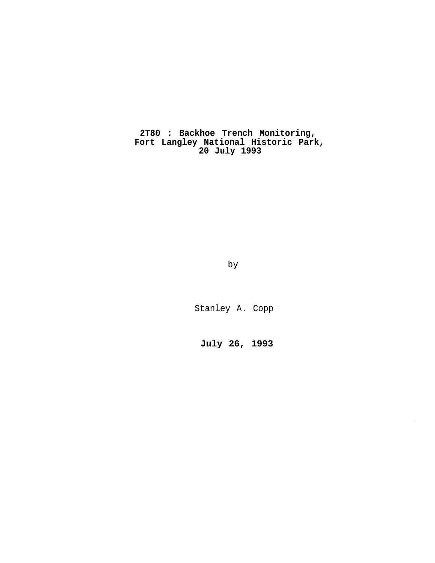**2T80 : Backhoe Trench Monitoring, Fort Langley National Historic Park, 20 July 1993**

by

Stanley A. Copp

**July 26, 1993**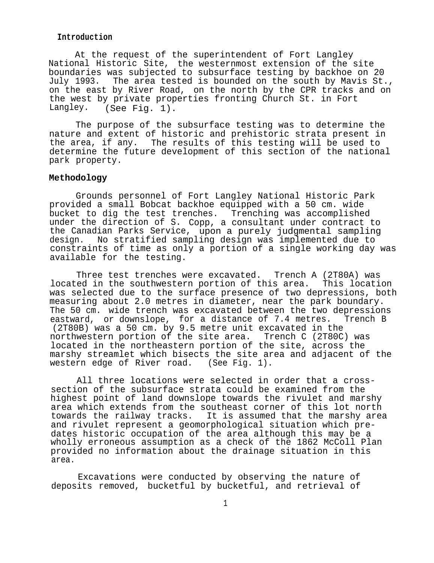#### **Introduction**

At the request of the superintendent of Fort Langley National Historic Site, the westernmost extension of the site boundaries was subjected to subsurface testing by backhoe on 20 July 1993. The area tested is bounded on the south by Mavis St., on the east by River Road, on the north by the CPR tracks and on the west by private properties fronting Church St. in Fort Langley. (See Fig. 1).

The purpose of the subsurface testing was to determine the nature and extent of historic and prehistoric strata present in the area, if any. The results of this testing will be used to determine the future development of this section of the national park property.

# **Methodology**

Grounds personnel of Fort Langley National Historic Park provided a small Bobcat backhoe equipped with a 50 cm. wide bucket to dig the test trenches. Trenching was accomplished under the direction of S. Copp, a consultant under contract to the Canadian Parks Service, upon a purely judgmental sampling design. No stratified sampling design was implemented due to constraints of time as only a portion of a single working day was available for the testing.

Three test trenches were excavated. Trench A (2T80A) was located in the southwestern portion of this area. This location was selected due to the surface presence of two depressions, both measuring about 2.0 metres in diameter, near the park boundary. The 50 cm. wide trench was excavated between the two depressions eastward, or downslope, for a distance of 7.4 metres. Trench B (2T80B) was a 50 cm. by 9.5 metre unit excavated in the northwestern portion of the site area. Trench C (2T80C) was located in the northeastern portion of the site, across the marshy streamlet which bisects the site area and adjacent of the western edge of River road. (See Fig. 1).

All three locations were selected in order that a crosssection of the subsurface strata could be examined from the highest point of land downslope towards the rivulet and marshy area which extends from the southeast corner of this lot north towards the railway tracks. It is assumed that the marshy area and rivulet represent a geomorphological situation which predates historic occupation of the area although this may be a wholly erroneous assumption as a check of the 1862 McColl Plan provided no information about the drainage situation in this area.

Excavations were conducted by observing the nature of deposits removed, bucketful by bucketful, and retrieval of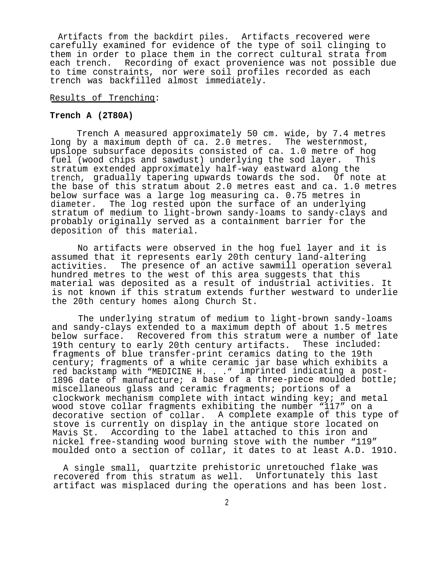Artifacts from the backdirt piles. Artifacts recovered were carefully examined for evidence of the type of soil clinging to them in order to place them in the correct cultural strata from each trench. Recording of exact provenience was not possible due to time constraints, nor were soil profiles recorded as each trench was backfilled almost immediately.

## Results of Trenchinq:

## **Trench A (2T80A)**

Trench A measured approximately 50 cm. wide, by 7.4 metres long by a maximum depth of ca. 2.0 metres. The westernmost, upslope subsurface deposits consisted of ca. 1.0 metre of hog fuel (wood chips and sawdust) underlying the sod layer. This stratum extended approximately half-way eastward along the trench, gradually tapering upwards towards the sod. Of note at the base of this stratum about 2.0 metres east and ca. 1.0 metres below surface was a large log measuring ca. 0.75 metres in diameter. The log rested upon the surface of an underlying stratum of medium to light-brown sandy-loams to sandy-clays and probably originally served as a containment barrier for the deposition of this material.

No artifacts were observed in the hog fuel layer and it is assumed that it represents early 20th century land-altering activities. The presence of an active sawmill operation several hundred metres to the west of this area suggests that this material was deposited as a result of industrial activities. It is not known if this stratum extends further westward to underlie the 20th century homes along Church St.

The underlying stratum of medium to light-brown sandy-loams and sandy-clays extended to a maximum depth of about 1.5 metres below surface. Recovered from this stratum were a number of late<br>19th century to early 20th century artifacts. These included: 19th century to early 20th century artifacts. fragments of blue transfer-print ceramics dating to the 19th century; fragments of a white ceramic jar base which exhibits a red backstamp with "MEDICINE H. . ." imprinted indicating a post-1896 date of manufacture; a base of a three-piece moulded bottle; miscellaneous glass and ceramic fragments; portions of a clockwork mechanism complete with intact winding key; and metal wood stove collar fragments exhibiting the number "117" on a decorative section of collar. A complete example of this type of stove is currently on display in the antique store located on Mavis St. According to the label attached to this iron and nickel free-standing wood burning stove with the number "119" moulded onto a section of collar, it dates to at least A.D. 191O.

A single small, quartzite prehistoric unretouched flake was recovered from this stratum as well. Unfortunately this last artifact was misplaced during the operations and has been lost.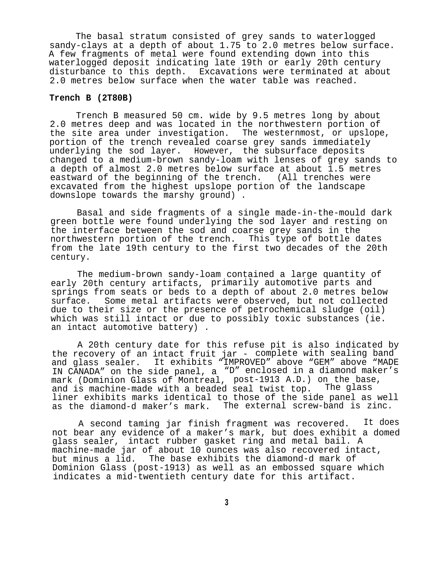The basal stratum consisted of grey sands to waterlogged sandy-clays at a depth of about 1.75 to 2.0 metres below surface. A few fragments of metal were found extending down into this waterlogged deposit indicating late 19th or early 20th century disturbance to this depth. Excavations were terminated at about 2.0 metres below surface when the water table was reached.

## **Trench B (2T80B)**

Trench B measured 50 cm. wide by 9.5 metres long by about 2.0 metres deep and was located in the northwestern portion of the site area under investigation. The westernmost, or upslope, portion of the trench revealed coarse grey sands immediately underlying the sod layer. However, the subsurface deposits changed to a medium-brown sandy-loam with lenses of grey sands to a depth of almost 2.0 metres below surface at about 1.5 metres eastward of the beginning of the trench. (All trenches were excavated from the highest upslope portion of the landscape downslope towards the marshy ground) .

Basal and side fragments of a single made-in-the-mould dark green bottle were found underlying the sod layer and resting on the interface between the sod and coarse grey sands in the northwestern portion of the trench. This type of bottle dates from the late 19th century to the first two decades of the 20th century.

The medium-brown sandy-loam contained a large quantity of early 20th century artifacts, primarily automotive parts and springs from seats or beds to a depth of about 2.0 metres below surface. Some metal artifacts were observed, but not collected due to their size or the presence of petrochemical sludge (oil) which was still intact or due to possibly toxic substances (ie. an intact automotive battery) .

A 20th century date for this refuse pit is also indicated by the recovery of an intact fruit jar - complete with sealing band and glass sealer. It exhibits "IMPROVED" above "GEM" above "MADE IN CANADA" on the side panel, a "D" enclosed in a diamond maker's mark (Dominion Glass of Montreal, post-1913 A.D.) on the base,<br>and is machine-made with a beaded seal twist top. The glass and is machine-made with a beaded seal twist top. liner exhibits marks identical to those of the side panel as well as the diamond-d maker's mark. The external screw-band is zinc.

A second taming jar finish fragment was recovered. It does not bear any evidence of a maker's mark, but does exhibit a domed glass sealer, intact rubber gasket ring and metal bail. A machine-made jar of about 10 ounces was also recovered intact, but minus a lid. The base exhibits the diamond-d mark of Dominion Glass (post-1913) as well as an embossed square which indicates a mid-twentieth century date for this artifact.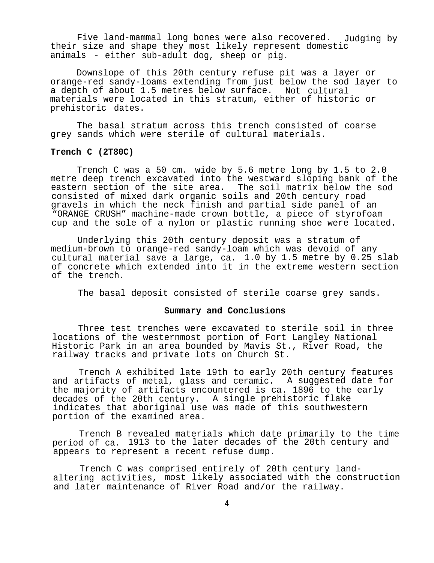Five land-mammal long bones were also recovered. Judging by their size and shape they most likely represent domestic animals - either sub-adult dog, sheep or pig.

Downslope of this 20th century refuse pit was a layer or orange-red sandy-loams extending from just below the sod layer to a depth of about 1.5 metres below surface. Not cultural materials were located in this stratum, either of historic or prehistoric dates.

The basal stratum across this trench consisted of coarse grey sands which were sterile of cultural materials.

#### **Trench C (2T80C)**

Trench C was a 50 cm. wide by 5.6 metre long by 1.5 to 2.0 metre deep trench excavated into the westward sloping bank of the eastern section of the site area. The soil matrix below the sod consisted of mixed dark organic soils and 20th century road gravels in which the neck finish and partial side panel of an "ORANGE CRUSH" machine-made crown bottle, a piece of styrofoam cup and the sole of a nylon or plastic running shoe were located.

Underlying this 20th century deposit was a stratum of medium-brown to orange-red sandy-loam which was devoid of any cultural material save a large, ca. 1.0 by 1.5 metre by 0.25 slab of concrete which extended into it in the extreme western section of the trench.

The basal deposit consisted of sterile coarse grey sands.

#### **Summary and Conclusions**

Three test trenches were excavated to sterile soil in three locations of the westernmost portion of Fort Langley National Historic Park in an area bounded by Mavis St., River Road, the railway tracks and private lots on Church St.

Trench A exhibited late 19th to early 20th century features and artifacts of metal, glass and ceramic. A suggested date for the majority of artifacts encountered is ca. 1896 to the early decades of the 20th century. A single prehistoric flake indicates that aboriginal use was made of this southwestern portion of the examined area.

Trench B revealed materials which date primarily to the time period of ca. 1913 to the later decades of the 20th century and appears to represent a recent refuse dump.

Trench C was comprised entirely of 20th century landaltering activities, most likely associated with the construction and later maintenance of River Road and/or the railway.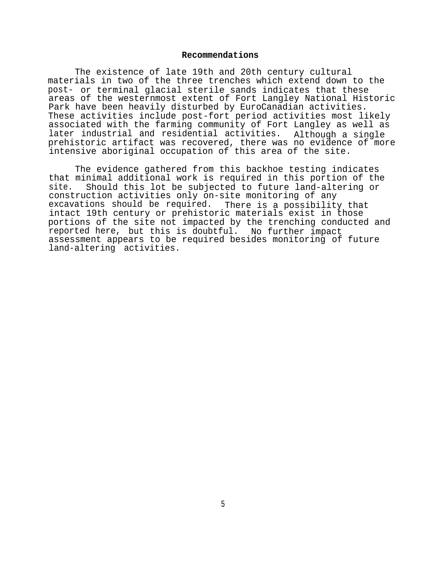### **Recommendations**

The existence of late 19th and 20th century cultural materials in two of the three trenches which extend down to the post- or terminal glacial sterile sands indicates that these areas of the westernmost extent of Fort Langley National Historic Park have been heavily disturbed by EuroCanadian activities. These activities include post-fort period activities most likely associated with the farming community of Fort Langley as well as later industrial and residential activities. Although a single prehistoric artifact was recovered, there was no evidence of more intensive aboriginal occupation of this area of the site.

The evidence gathered from this backhoe testing indicates that minimal additional work is required in this portion of the site. Should this lot be subjected to future land-altering or construction activities only on-site monitoring of any excavations should be required. There is a possibility that intact 19th century or prehistoric materials exist in those portions of the site not impacted by the trenching conducted and reported here, but this is doubtful. No further impact assessment appears to be required besides monitoring of future land-altering activities.